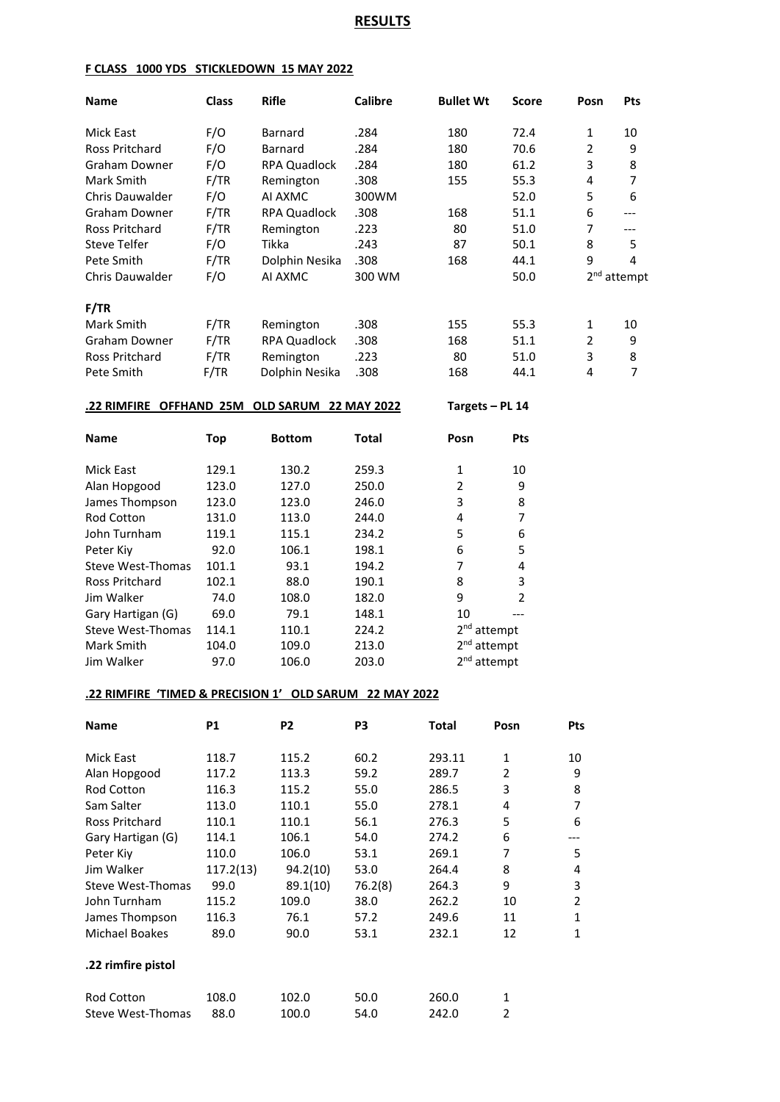# **RESULTS**

### **F CLASS 1000 YDS STICKLEDOWN 15 MAY 2022**

| <b>Name</b>                                             | <b>Class</b> | <b>Rifle</b>        | <b>Calibre</b> | <b>Bullet Wt</b>        | Score               | Posn           | Pts                     |
|---------------------------------------------------------|--------------|---------------------|----------------|-------------------------|---------------------|----------------|-------------------------|
| Mick East                                               | F/O          | Barnard             | .284           | 180                     | 72.4                | 1              | 10                      |
| Ross Pritchard                                          | F/O          | Barnard             | .284           | 180                     | 70.6                | 2              | 9                       |
| <b>Graham Downer</b>                                    | F/O          | <b>RPA Quadlock</b> | .284           | 180                     | 61.2                | 3              | 8                       |
| Mark Smith                                              | F/TR         | Remington           | .308           | 155                     | 55.3                | 4              | 7                       |
| Chris Dauwalder                                         | F/O          | AI AXMC             | 300WM          |                         | 52.0                | 5              | 6                       |
| Graham Downer                                           | F/TR         | <b>RPA Quadlock</b> | .308           | 168                     | 51.1                | 6              | $---$                   |
| <b>Ross Pritchard</b>                                   | F/TR         | Remington           | .223           | 80                      | 51.0                | 7              | $---$                   |
| <b>Steve Telfer</b>                                     | F/O          | Tikka               | .243           | 87                      | 50.1                | 8              | 5                       |
| Pete Smith                                              | F/TR         | Dolphin Nesika      | .308           | 168                     | 44.1                | 9              | 4                       |
| Chris Dauwalder                                         | F/O          | AI AXMC             | 300 WM         |                         | 50.0                |                | 2 <sup>nd</sup> attempt |
|                                                         |              |                     |                |                         |                     |                |                         |
| F/TR                                                    |              |                     |                |                         |                     |                |                         |
| Mark Smith                                              | F/TR         | Remington           | .308           | 155                     | 55.3                | 1              | 10                      |
| Graham Downer                                           | F/TR         | <b>RPA Quadlock</b> | .308           | 168                     | 51.1                | 2              | 9                       |
| Ross Pritchard                                          | F/TR         | Remington           | .223           | 80                      | 51.0                | 3              | 8                       |
| Pete Smith                                              | F/TR         | Dolphin Nesika      | .308           | 168                     | 44.1                | 4              | 7                       |
| .22 RIMFIRE OFFHAND 25M OLD SARUM 22 MAY 2022           |              |                     |                | Targets - PL 14         |                     |                |                         |
| <b>Name</b>                                             | <b>Top</b>   | <b>Bottom</b>       | <b>Total</b>   | Posn                    | Pts                 |                |                         |
| Mick East                                               | 129.1        | 130.2               | 259.3          | 1                       | 10                  |                |                         |
|                                                         | 123.0        | 127.0               | 250.0          | $\overline{2}$          |                     |                |                         |
| Alan Hopgood                                            |              |                     |                |                         | 9                   |                |                         |
| James Thompson                                          | 123.0        | 123.0               | 246.0          | 3                       | 8<br>7              |                |                         |
| Rod Cotton                                              | 131.0        | 113.0               | 244.0          | 4                       |                     |                |                         |
| John Turnham                                            | 119.1        | 115.1               | 234.2          | 5                       | 6                   |                |                         |
| Peter Kiy                                               | 92.0         | 106.1               | 198.1          | 6<br>7                  | 5<br>4              |                |                         |
| Steve West-Thomas                                       | 101.1        | 93.1                | 194.2          |                         |                     |                |                         |
| <b>Ross Pritchard</b><br>Jim Walker                     | 102.1        | 88.0                | 190.1          | 8                       | 3<br>$\overline{2}$ |                |                         |
|                                                         | 74.0         | 108.0               | 182.0          | 9                       |                     |                |                         |
| Gary Hartigan (G)                                       | 69.0         | 79.1<br>110.1       | 148.1<br>224.2 | 10                      |                     |                |                         |
| Steve West-Thomas                                       | 114.1        |                     |                | 2 <sup>nd</sup> attempt |                     |                |                         |
| Mark Smith                                              | 104.0        | 109.0               | 213.0          | 2 <sup>nd</sup> attempt |                     |                |                         |
| Jim Walker                                              | 97.0         | 106.0               | 203.0          | 2 <sup>nd</sup> attempt |                     |                |                         |
| .22 RIMFIRE 'TIMED & PRECISION 1' OLD SARUM 22 MAY 2022 |              |                     |                |                         |                     |                |                         |
| Name                                                    | <b>P1</b>    | P <sub>2</sub>      | P3             | <b>Total</b>            | Posn                | Pts            |                         |
| Mick East                                               | 118.7        | 115.2               | 60.2           | 293.11                  | 1                   | 10             |                         |
| Alan Hopgood                                            | 117.2        | 113.3               | 59.2           | 289.7                   | $\overline{2}$      | 9              |                         |
| Rod Cotton                                              | 116.3        | 115.2               | 55.0           | 286.5                   | 3                   | 8              |                         |
| Sam Salter                                              | 113.0        | 110.1               | 55.0           | 278.1                   | 4                   | $\overline{7}$ |                         |
| Ross Pritchard                                          | 110.1        | 110.1               | 56.1           | 276.3                   | 5                   | 6              |                         |
| Gary Hartigan (G)                                       | 114.1        | 106.1               | 54.0           | 274.2                   | 6                   | ---            |                         |
| Peter Kiy                                               | 110.0        | 106.0               | 53.1           | 269.1                   | 7                   | 5              |                         |
| Jim Walker                                              | 117.2(13)    | 94.2(10)            | 53.0           | 264.4                   | 8                   | 4              |                         |
| Steve West-Thomas                                       | 99.0         | 89.1(10)            | 76.2(8)        | 264.3                   | 9                   | 3              |                         |
| John Turnham                                            | 115.2        | 109.0               | 38.0           | 262.2                   | 10                  | $\overline{2}$ |                         |
| James Thompson                                          | 116.3        | 76.1                | 57.2           | 249.6                   | 11                  | $\mathbf{1}$   |                         |
| Michael Boakes                                          | 89.0         | 90.0                | 53.1           | 232.1                   | 12                  | $\mathbf{1}$   |                         |
| .22 rimfire pistol                                      |              |                     |                |                         |                     |                |                         |
| Rod Cotton                                              | 108.0        | 102.0               | 50.0           | 260.0                   | $\mathbf{1}$        |                |                         |

Steve West-Thomas 88.0 100.0 54.0 242.0 2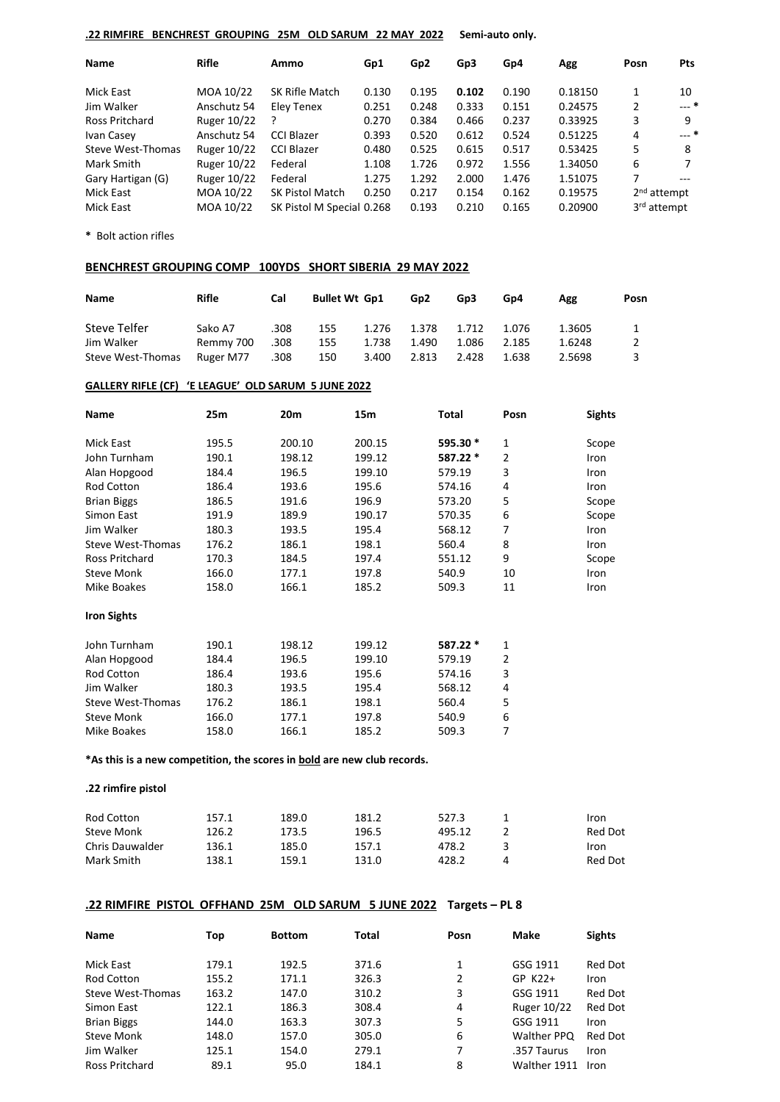### **.22 RIMFIRE BENCHREST GROUPING 25M OLD SARUM 22 MAY 2022 Semi-auto only.**

| Name              | <b>Rifle</b> | Ammo                      | Gp1   | Gp <sub>2</sub> | Gp3   | Gp4   | Agg     | Posn                    | <b>Pts</b> |
|-------------------|--------------|---------------------------|-------|-----------------|-------|-------|---------|-------------------------|------------|
| Mick East         | MOA 10/22    | SK Rifle Match            | 0.130 | 0.195           | 0.102 | 0.190 | 0.18150 |                         | 10         |
| Jim Walker        | Anschutz 54  | Eley Tenex                | 0.251 | 0.248           | 0.333 | 0.151 | 0.24575 | 2                       | --- *      |
| Ross Pritchard    | Ruger 10/22  |                           | 0.270 | 0.384           | 0.466 | 0.237 | 0.33925 | 3                       | 9          |
| Ivan Casey        | Anschutz 54  | CCI Blazer                | 0.393 | 0.520           | 0.612 | 0.524 | 0.51225 | 4                       | $---$ *    |
| Steve West-Thomas | Ruger 10/22  | <b>CCI Blazer</b>         | 0.480 | 0.525           | 0.615 | 0.517 | 0.53425 | 5                       | 8          |
| Mark Smith        | Ruger 10/22  | Federal                   | 1.108 | 1.726           | 0.972 | 1.556 | 1.34050 | 6                       | 7          |
| Gary Hartigan (G) | Ruger 10/22  | Federal                   | 1.275 | 1.292           | 2.000 | 1.476 | 1.51075 | 7                       |            |
| Mick East         | MOA 10/22    | <b>SK Pistol Match</b>    | 0.250 | 0.217           | 0.154 | 0.162 | 0.19575 | 2 <sup>nd</sup> attempt |            |
| Mick East         | MOA 10/22    | SK Pistol M Special 0.268 |       | 0.193           | 0.210 | 0.165 | 0.20900 | 3 <sup>rd</sup> attempt |            |

**\*** Bolt action rifles

### **BENCHREST GROUPING COMP 100YDS SHORT SIBERIA 29 MAY 2022**

| Name                            | <b>Rifle</b>           | Cal          | <b>Bullet Wt Gp1</b> |                | Gp <sub>2</sub> | Gp3            | Gp4            | Agg              | Posn |
|---------------------------------|------------------------|--------------|----------------------|----------------|-----------------|----------------|----------------|------------------|------|
| Steve Telfer                    | Sako A7                | .308         | 155                  | 1.276          | 1.378           | 1.712          | 1.076          | 1.3605           |      |
| Jim Walker<br>Steve West-Thomas | Remmy 700<br>Ruger M77 | .308<br>.308 | 155<br>150           | 1.738<br>3.400 | 1.490<br>2.813  | 1.086<br>2.428 | 2.185<br>1.638 | 1.6248<br>2.5698 |      |

#### **GALLERY RIFLE (CF) 'E LEAGUE' OLD SARUM 5 JUNE 2022**

| <b>Name</b>           | 25m   | 20 <sub>m</sub> | 15 <sub>m</sub> | Total    | Posn           | <b>Sights</b> |
|-----------------------|-------|-----------------|-----------------|----------|----------------|---------------|
| Mick East             | 195.5 | 200.10          | 200.15          | 595.30 * | 1              | Scope         |
| John Turnham          | 190.1 | 198.12          | 199.12          | 587.22 * | $\overline{2}$ | Iron          |
| Alan Hopgood          | 184.4 | 196.5           | 199.10          | 579.19   | 3              | Iron          |
| Rod Cotton            | 186.4 | 193.6           | 195.6           | 574.16   | 4              | Iron          |
| <b>Brian Biggs</b>    | 186.5 | 191.6           | 196.9           | 573.20   | 5              | Scope         |
| Simon East            | 191.9 | 189.9           | 190.17          | 570.35   | 6              | Scope         |
| Jim Walker            | 180.3 | 193.5           | 195.4           | 568.12   | 7              | Iron          |
| Steve West-Thomas     | 176.2 | 186.1           | 198.1           | 560.4    | 8              | Iron          |
| <b>Ross Pritchard</b> | 170.3 | 184.5           | 197.4           | 551.12   | 9              | Scope         |
| <b>Steve Monk</b>     | 166.0 | 177.1           | 197.8           | 540.9    | 10             | Iron          |
| Mike Boakes           | 158.0 | 166.1           | 185.2           | 509.3    | 11             | Iron          |
| <b>Iron Sights</b>    |       |                 |                 |          |                |               |
| John Turnham          | 190.1 | 198.12          | 199.12          | 587.22 * | 1              |               |
| Alan Hopgood          | 184.4 | 196.5           | 199.10          | 579.19   | 2              |               |
| <b>Rod Cotton</b>     | 186.4 | 193.6           | 195.6           | 574.16   | 3              |               |
| Jim Walker            | 180.3 | 193.5           | 195.4           | 568.12   | 4              |               |
| Steve West-Thomas     | 176.2 | 186.1           | 198.1           | 560.4    | 5              |               |
| <b>Steve Monk</b>     | 166.0 | 177.1           | 197.8           | 540.9    | 6              |               |
| <b>Mike Boakes</b>    | 158.0 | 166.1           | 185.2           | 509.3    | 7              |               |

**\*As this is a new competition, the scores in bold are new club records.**

```
.22 rimfire pistol
```

| Rod Cotton      | 157.1 | 189.0 | 181.2 | 527.3  | Iron    |
|-----------------|-------|-------|-------|--------|---------|
| Steve Monk      | 126.2 | 173.5 | 196.5 | 495.12 | Red Dot |
| Chris Dauwalder | 136.1 | 185.0 | 157.1 | 478.2  | Iron    |
| Mark Smith      | 138.1 | 159.1 | 131.0 | 428.2  | Red Dot |

## **.22 RIMFIRE PISTOL OFFHAND 25M OLD SARUM 5 JUNE 2022 Targets – PL 8**

| Name               | Top   | <b>Bottom</b> | Total | Posn | Make               | <b>Sights</b>  |
|--------------------|-------|---------------|-------|------|--------------------|----------------|
| Mick East          | 179.1 | 192.5         | 371.6 | 1    | GSG 1911           | Red Dot        |
| <b>Rod Cotton</b>  | 155.2 | 171.1         | 326.3 | 2    | GP K22+            | Iron           |
| Steve West-Thomas  | 163.2 | 147.0         | 310.2 | 3    | GSG 1911           | Red Dot        |
| Simon East         | 122.1 | 186.3         | 308.4 | 4    | <b>Ruger 10/22</b> | <b>Red Dot</b> |
| <b>Brian Biggs</b> | 144.0 | 163.3         | 307.3 | 5    | GSG 1911           | Iron           |
| <b>Steve Monk</b>  | 148.0 | 157.0         | 305.0 | 6    | <b>Walther PPQ</b> | Red Dot        |
| Jim Walker         | 125.1 | 154.0         | 279.1 | 7    | .357 Taurus        | Iron           |
| Ross Pritchard     | 89.1  | 95.0          | 184.1 | 8    | Walther 1911       | Iron           |